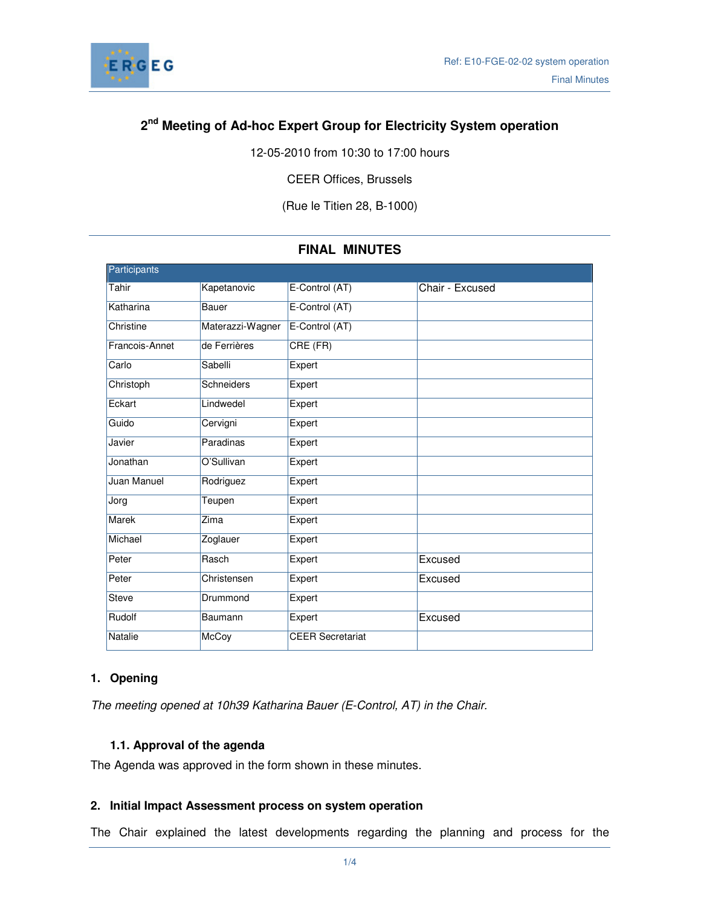

# **2 nd Meeting of Ad-hoc Expert Group for Electricity System operation**

12-05-2010 from 10:30 to 17:00 hours

CEER Offices, Brussels

(Rue le Titien 28, B-1000)

| Participants   |                  |                         |                 |
|----------------|------------------|-------------------------|-----------------|
| Tahir          | Kapetanovic      | E-Control (AT)          | Chair - Excused |
| Katharina      | Bauer            | E-Control (AT)          |                 |
| Christine      | Materazzi-Wagner | E-Control (AT)          |                 |
| Francois-Annet | de Ferrières     | CRE (FR)                |                 |
| Carlo          | Sabelli          | Expert                  |                 |
| Christoph      | Schneiders       | Expert                  |                 |
| Eckart         | Lindwedel        | Expert                  |                 |
| Guido          | Cervigni         | Expert                  |                 |
| Javier         | Paradinas        | Expert                  |                 |
| Jonathan       | O'Sullivan       | Expert                  |                 |
| Juan Manuel    | Rodriguez        | Expert                  |                 |
| Jorg           | Teupen           | Expert                  |                 |
| Marek          | Zima             | Expert                  |                 |
| Michael        | Zoglauer         | Expert                  |                 |
| Peter          | Rasch            | Expert                  | Excused         |
| Peter          | Christensen      | Expert                  | Excused         |
| Steve          | Drummond         | Expert                  |                 |
| Rudolf         | Baumann          | Expert                  | Excused         |
| Natalie        | McCoy            | <b>CEER Secretariat</b> |                 |

## **FINAL MINUTES**

### **1. Opening**

The meeting opened at 10h39 Katharina Bauer (E-Control, AT) in the Chair.

## **1.1. Approval of the agenda**

The Agenda was approved in the form shown in these minutes.

### **2. Initial Impact Assessment process on system operation**

The Chair explained the latest developments regarding the planning and process for the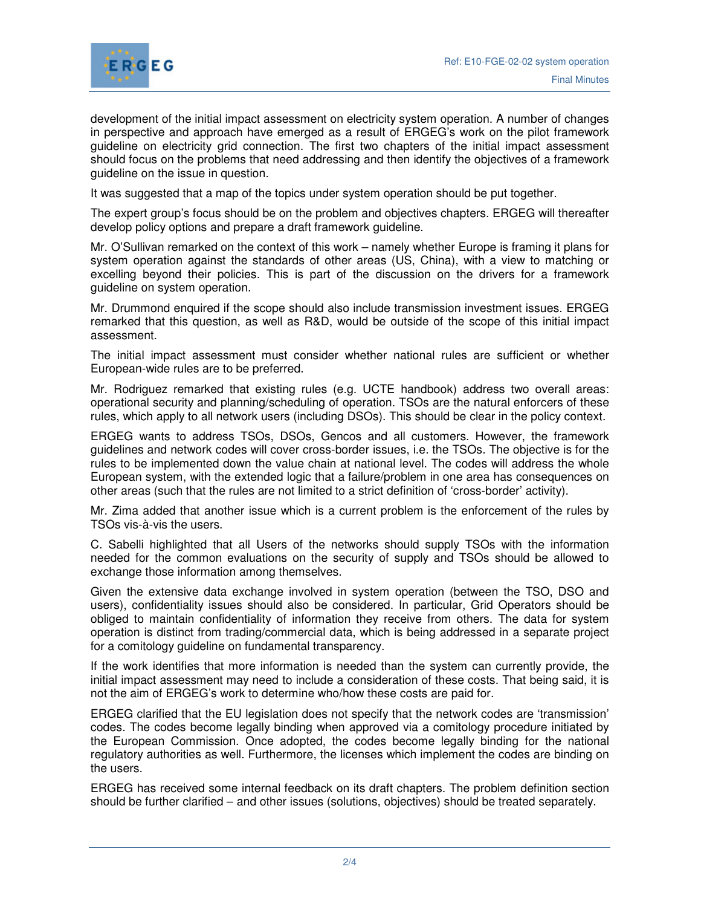

development of the initial impact assessment on electricity system operation. A number of changes in perspective and approach have emerged as a result of ERGEG's work on the pilot framework guideline on electricity grid connection. The first two chapters of the initial impact assessment should focus on the problems that need addressing and then identify the objectives of a framework guideline on the issue in question.

It was suggested that a map of the topics under system operation should be put together.

The expert group's focus should be on the problem and objectives chapters. ERGEG will thereafter develop policy options and prepare a draft framework guideline.

Mr. O'Sullivan remarked on the context of this work – namely whether Europe is framing it plans for system operation against the standards of other areas (US, China), with a view to matching or excelling beyond their policies. This is part of the discussion on the drivers for a framework guideline on system operation.

Mr. Drummond enquired if the scope should also include transmission investment issues. ERGEG remarked that this question, as well as R&D, would be outside of the scope of this initial impact assessment.

The initial impact assessment must consider whether national rules are sufficient or whether European-wide rules are to be preferred.

Mr. Rodriguez remarked that existing rules (e.g. UCTE handbook) address two overall areas: operational security and planning/scheduling of operation. TSOs are the natural enforcers of these rules, which apply to all network users (including DSOs). This should be clear in the policy context.

ERGEG wants to address TSOs, DSOs, Gencos and all customers. However, the framework guidelines and network codes will cover cross-border issues, i.e. the TSOs. The objective is for the rules to be implemented down the value chain at national level. The codes will address the whole European system, with the extended logic that a failure/problem in one area has consequences on other areas (such that the rules are not limited to a strict definition of 'cross-border' activity).

Mr. Zima added that another issue which is a current problem is the enforcement of the rules by TSOs vis-à-vis the users.

C. Sabelli highlighted that all Users of the networks should supply TSOs with the information needed for the common evaluations on the security of supply and TSOs should be allowed to exchange those information among themselves.

Given the extensive data exchange involved in system operation (between the TSO, DSO and users), confidentiality issues should also be considered. In particular, Grid Operators should be obliged to maintain confidentiality of information they receive from others. The data for system operation is distinct from trading/commercial data, which is being addressed in a separate project for a comitology guideline on fundamental transparency.

If the work identifies that more information is needed than the system can currently provide, the initial impact assessment may need to include a consideration of these costs. That being said, it is not the aim of ERGEG's work to determine who/how these costs are paid for.

ERGEG clarified that the EU legislation does not specify that the network codes are 'transmission' codes. The codes become legally binding when approved via a comitology procedure initiated by the European Commission. Once adopted, the codes become legally binding for the national regulatory authorities as well. Furthermore, the licenses which implement the codes are binding on the users.

ERGEG has received some internal feedback on its draft chapters. The problem definition section should be further clarified – and other issues (solutions, objectives) should be treated separately.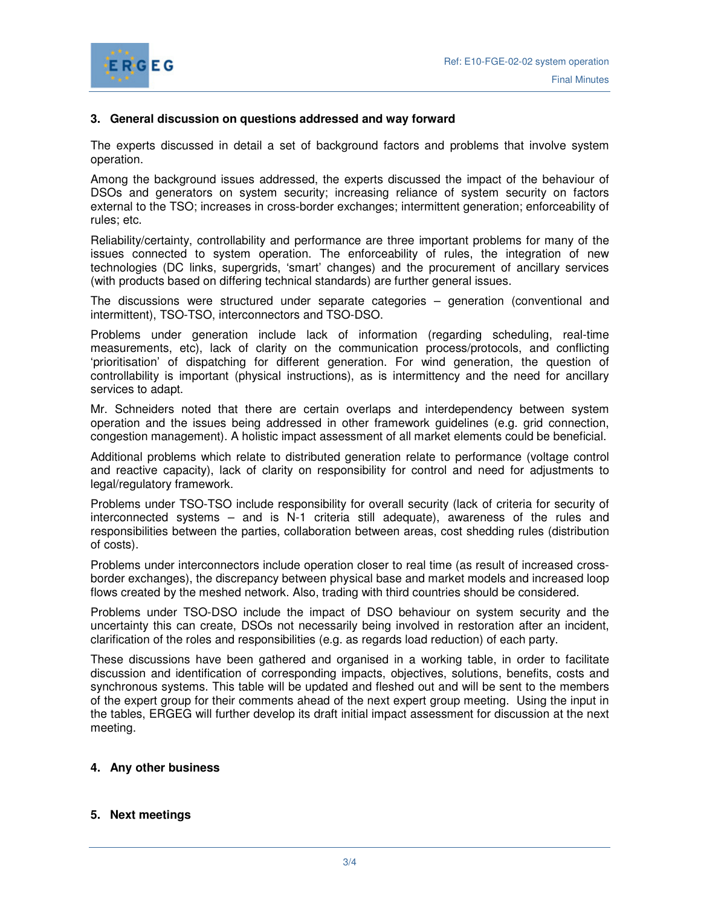



#### **3. General discussion on questions addressed and way forward**

The experts discussed in detail a set of background factors and problems that involve system operation.

Among the background issues addressed, the experts discussed the impact of the behaviour of DSOs and generators on system security; increasing reliance of system security on factors external to the TSO; increases in cross-border exchanges; intermittent generation; enforceability of rules; etc.

Reliability/certainty, controllability and performance are three important problems for many of the issues connected to system operation. The enforceability of rules, the integration of new technologies (DC links, supergrids, 'smart' changes) and the procurement of ancillary services (with products based on differing technical standards) are further general issues.

The discussions were structured under separate categories – generation (conventional and intermittent), TSO-TSO, interconnectors and TSO-DSO.

Problems under generation include lack of information (regarding scheduling, real-time measurements, etc), lack of clarity on the communication process/protocols, and conflicting 'prioritisation' of dispatching for different generation. For wind generation, the question of controllability is important (physical instructions), as is intermittency and the need for ancillary services to adapt.

Mr. Schneiders noted that there are certain overlaps and interdependency between system operation and the issues being addressed in other framework guidelines (e.g. grid connection, congestion management). A holistic impact assessment of all market elements could be beneficial.

Additional problems which relate to distributed generation relate to performance (voltage control and reactive capacity), lack of clarity on responsibility for control and need for adjustments to legal/regulatory framework.

Problems under TSO-TSO include responsibility for overall security (lack of criteria for security of interconnected systems – and is N-1 criteria still adequate), awareness of the rules and responsibilities between the parties, collaboration between areas, cost shedding rules (distribution of costs).

Problems under interconnectors include operation closer to real time (as result of increased crossborder exchanges), the discrepancy between physical base and market models and increased loop flows created by the meshed network. Also, trading with third countries should be considered.

Problems under TSO-DSO include the impact of DSO behaviour on system security and the uncertainty this can create, DSOs not necessarily being involved in restoration after an incident, clarification of the roles and responsibilities (e.g. as regards load reduction) of each party.

These discussions have been gathered and organised in a working table, in order to facilitate discussion and identification of corresponding impacts, objectives, solutions, benefits, costs and synchronous systems. This table will be updated and fleshed out and will be sent to the members of the expert group for their comments ahead of the next expert group meeting. Using the input in the tables, ERGEG will further develop its draft initial impact assessment for discussion at the next meeting.

### **4. Any other business**

#### **5. Next meetings**